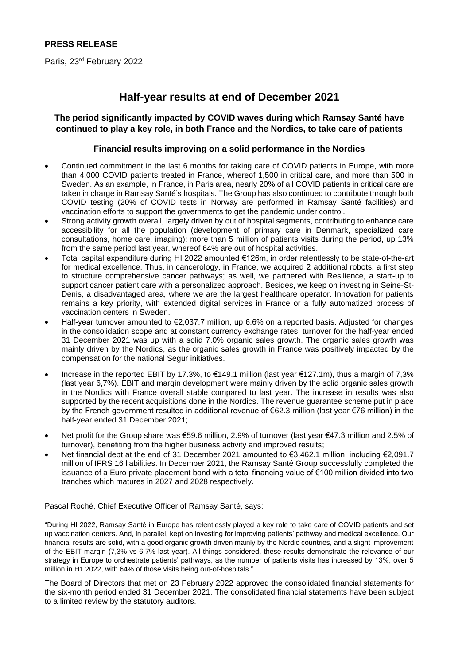#### **PRESS RELEASE**

Paris, 23<sup>rd</sup> February 2022

## **Half-year results at end of December 2021**

#### **The period significantly impacted by COVID waves during which Ramsay Santé have continued to play a key role, in both France and the Nordics, to take care of patients**

#### **Financial results improving on a solid performance in the Nordics**

- Continued commitment in the last 6 months for taking care of COVID patients in Europe, with more than 4,000 COVID patients treated in France, whereof 1,500 in critical care, and more than 500 in Sweden. As an example, in France, in Paris area, nearly 20% of all COVID patients in critical care are taken in charge in Ramsay Santé's hospitals. The Group has also continued to contribute through both COVID testing (20% of COVID tests in Norway are performed in Ramsay Santé facilities) and vaccination efforts to support the governments to get the pandemic under control.
- Strong activity growth overall, largely driven by out of hospital segments, contributing to enhance care accessibility for all the population (development of primary care in Denmark, specialized care consultations, home care, imaging): more than 5 million of patients visits during the period, up 13% from the same period last year, whereof 64% are out of hospital activities.
- Total capital expenditure during HI 2022 amounted €126m, in order relentlessly to be state-of-the-art for medical excellence. Thus, in cancerology, in France, we acquired 2 additional robots, a first step to structure comprehensive cancer pathways; as well, we partnered with Resilience, a start-up to support cancer patient care with a personalized approach. Besides, we keep on investing in Seine-St-Denis, a disadvantaged area, where we are the largest healthcare operator. Innovation for patients remains a key priority, with extended digital services in France or a fully automatized process of vaccination centers in Sweden.
- Half-year turnover amounted to €2,037.7 million, up 6.6% on a reported basis. Adjusted for changes in the consolidation scope and at constant currency exchange rates, turnover for the half-year ended 31 December 2021 was up with a solid 7.0% organic sales growth. The organic sales growth was mainly driven by the Nordics, as the organic sales growth in France was positively impacted by the compensation for the national Segur initiatives.
- Increase in the reported EBIT by 17.3%, to €149.1 million (last year €127.1m), thus a margin of 7,3% (last year 6,7%). EBIT and margin development were mainly driven by the solid organic sales growth in the Nordics with France overall stable compared to last year. The increase in results was also supported by the recent acquisitions done in the Nordics. The revenue guarantee scheme put in place by the French government resulted in additional revenue of €62.3 million (last year €76 million) in the half-year ended 31 December 2021;
- Net profit for the Group share was €59.6 million, 2.9% of turnover (last year €47.3 million and 2.5% of turnover), benefiting from the higher business activity and improved results;
- Net financial debt at the end of 31 December 2021 amounted to €3,462.1 million, including €2,091.7 million of IFRS 16 liabilities. In December 2021, the Ramsay Santé Group successfully completed the issuance of a Euro private placement bond with a total financing value of €100 million divided into two tranches which matures in 2027 and 2028 respectively.

Pascal Roché, Chief Executive Officer of Ramsay Santé, says:

"During HI 2022, Ramsay Santé in Europe has relentlessly played a key role to take care of COVID patients and set up vaccination centers. And, in parallel, kept on investing for improving patients' pathway and medical excellence. Our financial results are solid, with a good organic growth driven mainly by the Nordic countries, and a slight improvement of the EBIT margin (7,3% vs 6,7% last year). All things considered, these results demonstrate the relevance of our strategy in Europe to orchestrate patients' pathways, as the number of patients visits has increased by 13%, over 5 million in H1 2022, with 64% of those visits being out-of-hospitals."

The Board of Directors that met on 23 February 2022 approved the consolidated financial statements for the six-month period ended 31 December 2021. The consolidated financial statements have been subject to a limited review by the statutory auditors.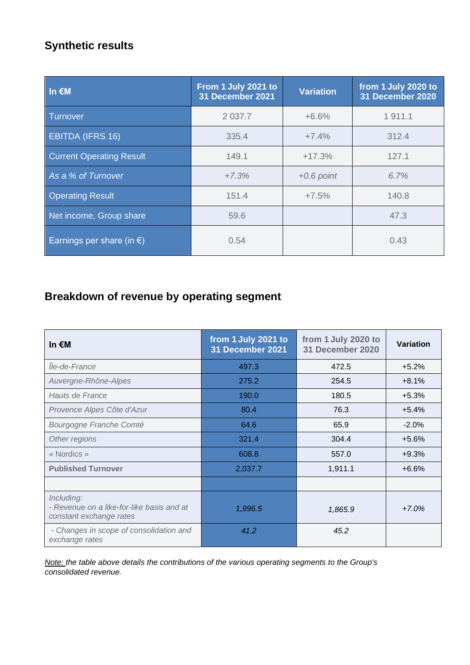# **Synthetic results**

| In $\notin M$                       | From 1 July 2021 to<br>31 December 2021 | <b>Variation</b> | from 1 July 2020 to<br>31 December 2020 |
|-------------------------------------|-----------------------------------------|------------------|-----------------------------------------|
| <b>Turnover</b>                     | 2 0 3 7.7                               | $+6.6%$          | 1911.1                                  |
| <b>EBITDA (IFRS 16)</b>             | 335.4                                   | $+7.4%$          | 312.4                                   |
| <b>Current Operating Result</b>     | 149.1                                   | $+17.3%$         | 127.1                                   |
| As a % of Turnover                  | $+7.3%$                                 | $+0.6$ point     | 6.7%                                    |
| <b>Operating Result</b>             | 151.4                                   | $+7.5%$          | 140.8                                   |
| Net income, Group share             | 59.6                                    |                  | 47.3                                    |
| Earnings per share (in $\epsilon$ ) | 0.54                                    |                  | 0.43                                    |

# **Breakdown of revenue by operating segment**

| In $\notin M$                                                                      | from 1 July 2021 to<br>31 December 2021 | from 1 July 2020 to<br><b>Variation</b><br>31 December 2020 |         |
|------------------------------------------------------------------------------------|-----------------------------------------|-------------------------------------------------------------|---------|
| lle-de-France                                                                      | 497.3                                   | 472.5                                                       | $+5.2%$ |
| Auvergne-Rhône-Alpes                                                               | 275.2                                   | 254.5                                                       | $+8.1%$ |
| Hauts de France                                                                    | 190.0                                   | 180.5                                                       | $+5.3%$ |
| Provence Alpes Côte d'Azur                                                         | 80.4                                    | 76.3                                                        | $+5.4%$ |
| Bourgogne Franche Comté                                                            | 64.6                                    | 65.9                                                        | $-2.0%$ |
| Other regions                                                                      | 321.4                                   | 304.4                                                       | $+5.6%$ |
| « Nordics »                                                                        | 608.8                                   | 557.0                                                       | $+9.3%$ |
| <b>Published Turnover</b>                                                          | 2,037.7                                 | 1,911.1                                                     | $+6.6%$ |
|                                                                                    |                                         |                                                             |         |
| Including:<br>- Revenue on a like-for-like basis and at<br>constant exchange rates | 1,996.5                                 | 1,865.9                                                     | $+7.0%$ |
| - Changes in scope of consolidation and<br>exchange rates                          | 41.2                                    | 45.2                                                        |         |

*Note: the table above details the contributions of the various operating segments to the Group's consolidated revenue.*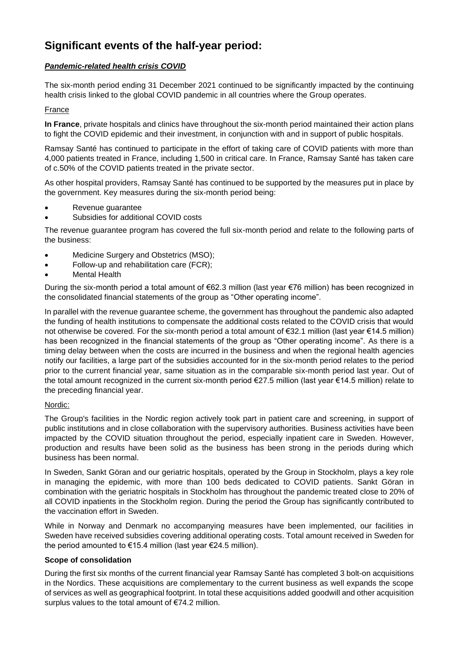# **Significant events of the half-year period:**

#### *Pandemic-related health crisis COVID*

The six-month period ending 31 December 2021 continued to be significantly impacted by the continuing health crisis linked to the global COVID pandemic in all countries where the Group operates.

#### France

**In France**, private hospitals and clinics have throughout the six-month period maintained their action plans to fight the COVID epidemic and their investment, in conjunction with and in support of public hospitals.

Ramsay Santé has continued to participate in the effort of taking care of COVID patients with more than 4,000 patients treated in France, including 1,500 in critical care. In France, Ramsay Santé has taken care of c.50% of the COVID patients treated in the private sector.

As other hospital providers, Ramsay Santé has continued to be supported by the measures put in place by the government. Key measures during the six-month period being:

- Revenue guarantee
- Subsidies for additional COVID costs

The revenue guarantee program has covered the full six-month period and relate to the following parts of the business:

- Medicine Surgery and Obstetrics (MSO);
- Follow-up and rehabilitation care (FCR);
- **Mental Health**

During the six-month period a total amount of €62.3 million (last year €76 million) has been recognized in the consolidated financial statements of the group as "Other operating income".

In parallel with the revenue guarantee scheme, the government has throughout the pandemic also adapted the funding of health institutions to compensate the additional costs related to the COVID crisis that would not otherwise be covered. For the six-month period a total amount of €32.1 million (last year €14.5 million) has been recognized in the financial statements of the group as "Other operating income". As there is a timing delay between when the costs are incurred in the business and when the regional health agencies notify our facilities, a large part of the subsidies accounted for in the six-month period relates to the period prior to the current financial year, same situation as in the comparable six-month period last year. Out of the total amount recognized in the current six-month period €27.5 million (last year €14.5 million) relate to the preceding financial year.

#### Nordic:

The Group's facilities in the Nordic region actively took part in patient care and screening, in support of public institutions and in close collaboration with the supervisory authorities. Business activities have been impacted by the COVID situation throughout the period, especially inpatient care in Sweden. However, production and results have been solid as the business has been strong in the periods during which business has been normal.

In Sweden, Sankt Göran and our geriatric hospitals, operated by the Group in Stockholm, plays a key role in managing the epidemic, with more than 100 beds dedicated to COVID patients. Sankt Göran in combination with the geriatric hospitals in Stockholm has throughout the pandemic treated close to 20% of all COVID inpatients in the Stockholm region. During the period the Group has significantly contributed to the vaccination effort in Sweden.

While in Norway and Denmark no accompanying measures have been implemented, our facilities in Sweden have received subsidies covering additional operating costs. Total amount received in Sweden for the period amounted to €15.4 million (last year €24.5 million).

#### **Scope of consolidation**

During the first six months of the current financial year Ramsay Santé has completed 3 bolt-on acquisitions in the Nordics. These acquisitions are complementary to the current business as well expands the scope of services as well as geographical footprint. In total these acquisitions added goodwill and other acquisition surplus values to the total amount of €74.2 million.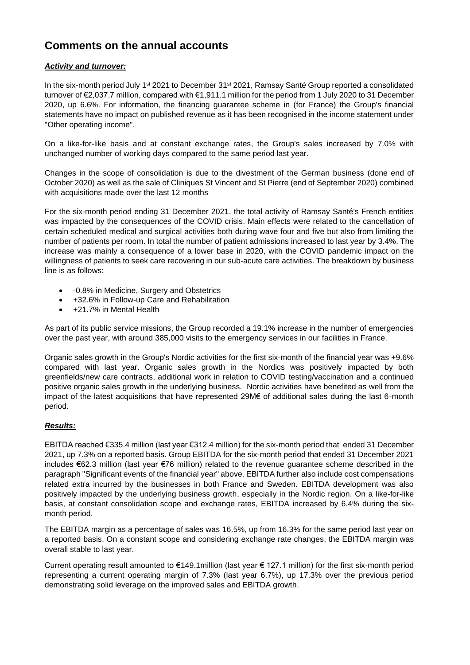## **Comments on the annual accounts**

#### *Activity and turnover:*

In the six-month period July 1<sup>st</sup> 2021 to December 31<sup>st</sup> 2021, Ramsay Santé Group reported a consolidated turnover of €2,037.7 million, compared with €1,911.1 million for the period from 1 July 2020 to 31 December 2020, up 6.6%. For information, the financing guarantee scheme in (for France) the Group's financial statements have no impact on published revenue as it has been recognised in the income statement under "Other operating income".

On a like-for-like basis and at constant exchange rates, the Group's sales increased by 7.0% with unchanged number of working days compared to the same period last year.

Changes in the scope of consolidation is due to the divestment of the German business (done end of October 2020) as well as the sale of Cliniques St Vincent and St Pierre (end of September 2020) combined with acquisitions made over the last 12 months

For the six-month period ending 31 December 2021, the total activity of Ramsay Santé's French entities was impacted by the consequences of the COVID crisis. Main effects were related to the cancellation of certain scheduled medical and surgical activities both during wave four and five but also from limiting the number of patients per room. In total the number of patient admissions increased to last year by 3.4%. The increase was mainly a consequence of a lower base in 2020, with the COVID pandemic impact on the willingness of patients to seek care recovering in our sub-acute care activities. The breakdown by business line is as follows:

- -0.8% in Medicine, Surgery and Obstetrics
- +32.6% in Follow-up Care and Rehabilitation
- +21.7% in Mental Health

As part of its public service missions, the Group recorded a 19.1% increase in the number of emergencies over the past year, with around 385,000 visits to the emergency services in our facilities in France.

Organic sales growth in the Group's Nordic activities for the first six-month of the financial year was +9.6% compared with last year. Organic sales growth in the Nordics was positively impacted by both greenfields/new care contracts, additional work in relation to COVID testing/vaccination and a continued positive organic sales growth in the underlying business. Nordic activities have benefited as well from the impact of the latest acquisitions that have represented 29M€ of additional sales during the last 6-month period.

#### *Results:*

EBITDA reached €335.4 million (last year €312.4 million) for the six-month period that ended 31 December 2021, up 7.3% on a reported basis. Group EBITDA for the six-month period that ended 31 December 2021 includes €62.3 million (last year €76 million) related to the revenue guarantee scheme described in the paragraph "Significant events of the financial year" above. EBITDA further also include cost compensations related extra incurred by the businesses in both France and Sweden. EBITDA development was also positively impacted by the underlying business growth, especially in the Nordic region. On a like-for-like basis, at constant consolidation scope and exchange rates, EBITDA increased by 6.4% during the sixmonth period.

The EBITDA margin as a percentage of sales was 16.5%, up from 16.3% for the same period last year on a reported basis. On a constant scope and considering exchange rate changes, the EBITDA margin was overall stable to last year.

Current operating result amounted to €149.1million (last year € 127.1 million) for the first six-month period representing a current operating margin of 7.3% (last year 6.7%), up 17.3% over the previous period demonstrating solid leverage on the improved sales and EBITDA growth.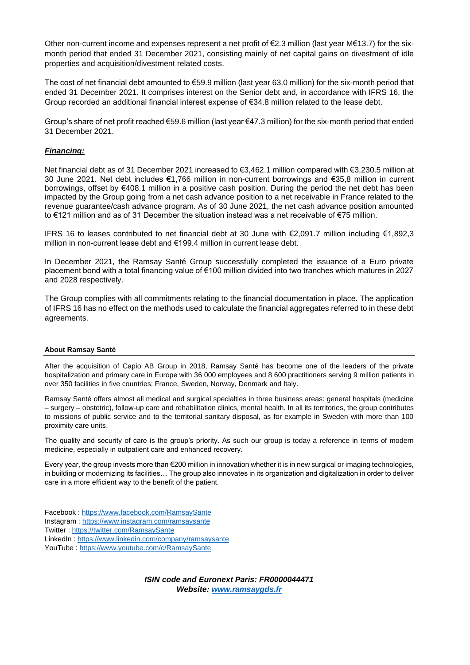Other non-current income and expenses represent a net profit of €2.3 million (last year M€13.7) for the sixmonth period that ended 31 December 2021, consisting mainly of net capital gains on divestment of idle properties and acquisition/divestment related costs.

The cost of net financial debt amounted to €59.9 million (last year 63.0 million) for the six-month period that ended 31 December 2021. It comprises interest on the Senior debt and, in accordance with IFRS 16, the Group recorded an additional financial interest expense of €34.8 million related to the lease debt.

Group's share of net profit reached €59.6 million (last year €47.3 million) for the six-month period that ended 31 December 2021.

#### *Financing:*

Net financial debt as of 31 December 2021 increased to €3,462.1 million compared with €3,230.5 million at 30 June 2021. Net debt includes €1,766 million in non-current borrowings and €35,8 million in current borrowings, offset by €408.1 million in a positive cash position. During the period the net debt has been impacted by the Group going from a net cash advance position to a net receivable in France related to the revenue guarantee/cash advance program. As of 30 June 2021, the net cash advance position amounted to €121 million and as of 31 December the situation instead was a net receivable of €75 million.

IFRS 16 to leases contributed to net financial debt at 30 June with €2,091.7 million including €1,892,3 million in non-current lease debt and €199.4 million in current lease debt.

In December 2021, the Ramsay Santé Group successfully completed the issuance of a Euro private placement bond with a total financing value of €100 million divided into two tranches which matures in 2027 and 2028 respectively.

The Group complies with all commitments relating to the financial documentation in place. The application of IFRS 16 has no effect on the methods used to calculate the financial aggregates referred to in these debt agreements.

#### **About Ramsay Santé**

After the acquisition of Capio AB Group in 2018, Ramsay Santé has become one of the leaders of the private hospitalization and primary care in Europe with 36 000 employees and 8 600 practitioners serving 9 million patients in over 350 facilities in five countries: France, Sweden, Norway, Denmark and Italy.

Ramsay Santé offers almost all medical and surgical specialties in three business areas: general hospitals (medicine – surgery – obstetric), follow-up care and rehabilitation clinics, mental health. In all its territories, the group contributes to missions of public service and to the territorial sanitary disposal, as for example in Sweden with more than 100 proximity care units.

The quality and security of care is the group's priority. As such our group is today a reference in terms of modern medicine, especially in outpatient care and enhanced recovery.

Every year, the group invests more than €200 million in innovation whether it is in new surgical or imaging technologies, in building or modernizing its facilities… The group also innovates in its organization and digitalization in order to deliver care in a more efficient way to the benefit of the patient.

Facebook [: https://www.facebook.com/RamsaySante](https://www.facebook.com/RamsaySante) Instagram :<https://www.instagram.com/ramsaysante> Twitter :<https://twitter.com/RamsaySante> LinkedIn :<https://www.linkedin.com/company/ramsaysante> YouTube [: https://www.youtube.com/c/RamsaySante](https://www.youtube.com/c/RamsaySante)

> *ISIN code and Euronext Paris: FR0000044471 Website: [www.ramsaygds.fr](http://www.ramsaygds.fr/)*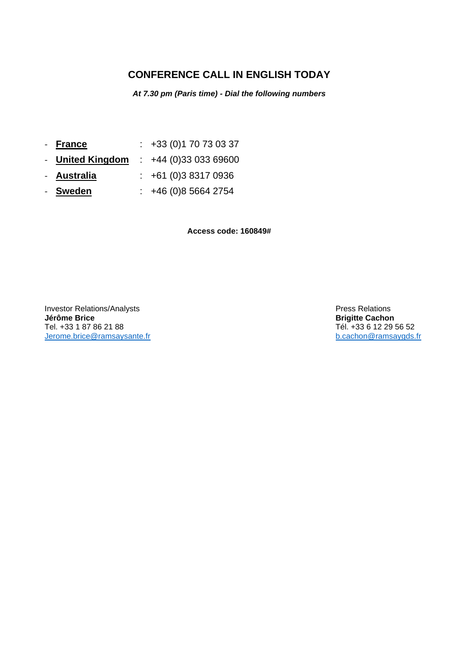### **CONFERENCE CALL IN ENGLISH TODAY**

*At 7.30 pm (Paris time) - Dial the following numbers*

- **France** : +33 (0)1 70 73 03 37
- **United Kingdom** : +44 (0)33 033 69600
- **Australia** : +61 (0)3 8317 0936
- **Sweden** : +46 (0)8 5664 2754

**Access code: 160849#**

Investor Relations/Analysts **Press Relations Jérôme Brice Brigitte Cachon** Jerome.brice@ramsaysante.fr

Tél. +33 6 12 29 56 52<br>b.cachon@ramsaygds.fr